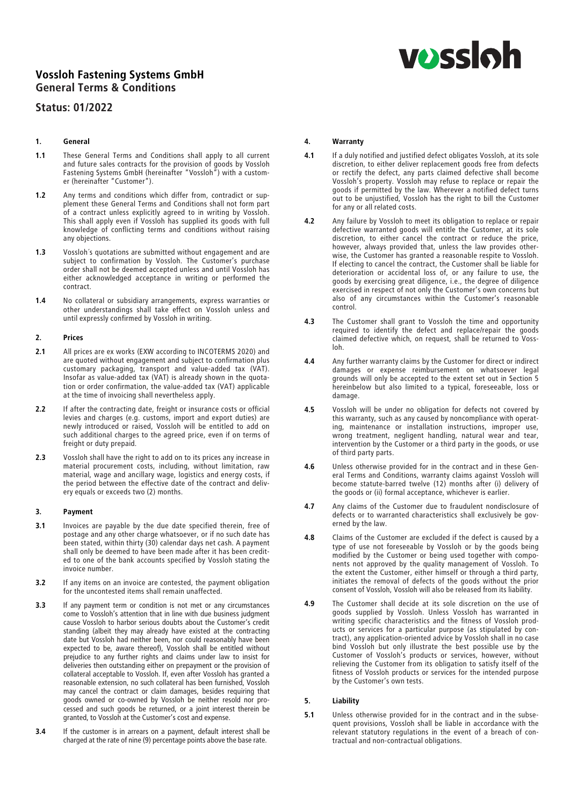# **vossloh**

## Vossloh Fastening Systems GmbH General Terms & Conditions

### Status: 01/2022

#### 1. General

- 1.1 These General Terms and Conditions shall apply to all current and future sales contracts for the provision of goods by Vossloh and future sales contracts for the provision of goods by Vossloh Fastening Systems GmbH (hereinafter "Vossloh") with a customer (hereinafter "Customer").
- 1.2 Any terms and conditions which differ from, contradict or supplement these General Terms and Conditions shall not form part of a contract unless explicitly agreed to in writing by Vossloh. This shall apply even if Vossloh has supplied its goods with full knowledge of conflicting terms and conditions without raising any objections.
- 1.3 Vossloh's quotations are submitted without engagement and are subject to confirmation by Vossloh. The Customer's purchase order shall not be deemed accepted unless and until Vossloh has either acknowledged acceptance in writing or performed the contract.
- 1.4 No collateral or subsidiary arrangements, express warranties or other understandings shall take effect on Vossloh unless and until expressly confirmed by Vossloh in writing.

#### 2. Prices

- 2.1 All prices are ex works (EXW according to INCOTERMS 2020) and are quoted without engagement and subject to confirmation plus customary packaging, transport and value-added tax (VAT). Insofar as value-added tax (VAT) is already shown in the quotation or order confirmation, the value-added tax (VAT) applicable at the time of invoicing shall nevertheless apply.
- 2.2 If after the contracting date, freight or insurance costs or official levies and charges (e.g. customs, import and export duties) are newly introduced or raised, Vossloh will be entitled to add on such additional charges to the agreed price, even if on terms of freight or duty prepaid.
- 2.3 Vossloh shall have the right to add on to its prices any increase in material procurement costs, including, without limitation, raw material, wage and ancillary wage, logistics and energy costs, if the period between the effective date of the contract and delivery equals or exceeds two (2) months.

#### 3. Payment

- 3.1 Invoices are payable by the due date specified therein, free of postage and any other charge whatsoever, or if no such date has been stated, within thirty (30) calendar days net cash. A payment shall only be deemed to have been made after it has been credited to one of the bank accounts specified by Vossloh stating the invoice number.
- **3.2** If any items on an invoice are contested, the payment obligation for the uncontested items shall remain unaffected.
- 3.3 If any payment term or condition is not met or any circumstances come to Vossloh's attention that in line with due business judgment cause Vossloh to harbor serious doubts about the Customer's credit standing (albeit they may already have existed at the contracting date but Vossloh had neither been, nor could reasonably have been expected to be, aware thereof), Vossloh shall be entitled without prejudice to any further rights and claims under law to insist for deliveries then outstanding either on prepayment or the provision of collateral acceptable to Vossloh. If, even after Vossloh has granted a reasonable extension, no such collateral has been furnished, Vossloh may cancel the contract or claim damages, besides requiring that goods owned or co-owned by Vossloh be neither resold nor processed and such goods be returned, or a joint interest therein be granted, to Vossloh at the Customer's cost and expense.
- 3.4 If the customer is in arrears on a payment, default interest shall be charged at the rate of nine (9) percentage points above the base rate.

#### 4. Warranty

- 4.1 If a duly notified and justified defect obligates Vossloh, at its sole discretion, to either deliver replacement goods free from defects or rectify the defect, any parts claimed defective shall become Vossloh's property. Vossloh may refuse to replace or repair the goods if permitted by the law. Wherever a notified defect turns out to be unjustified, Vossloh has the right to bill the Customer for any or all related costs.
- 4.2 Any failure by Vossloh to meet its obligation to replace or repair defective warranted goods will entitle the Customer, at its sole discretion, to either cancel the contract or reduce the price, however, always provided that, unless the law provides otherwise, the Customer has granted a reasonable respite to Vossloh. If electing to cancel the contract, the Customer shall be liable for deterioration or accidental loss of, or any failure to use, the goods by exercising great diligence, i.e., the degree of diligence exercised in respect of not only the Customer's own concerns but also of any circumstances within the Customer's reasonable control.
- 4.3 The Customer shall grant to Vossloh the time and opportunity required to identify the defect and replace/repair the goods claimed defective which, on request, shall be returned to Vossloh.
- 4.4 Any further warranty claims by the Customer for direct or indirect damages or expense reimbursement on whatsoever legal grounds will only be accepted to the extent set out in Section 5 hereinbelow but also limited to a typical, foreseeable, loss or damage.
- 4.5 Vossloh will be under no obligation for defects not covered by this warranty, such as any caused by noncompliance with operat-<br>ing, maintenance or installation instructions, improper use, ing, maintenance or installation instructions, improper use, wrong treatment, negligent handling, natural wear and tear, intervention by the Customer or a third party in the goods, or use of third party parts.
- 4.6 Unless otherwise provided for in the contract and in these General Terms and Conditions, warranty claims against Vossloh will become statute-barred twelve (12) months after (i) delivery of the goods or (ii) formal acceptance, whichever is earlier.
- 4.7 Any claims of the Customer due to fraudulent nondisclosure of defects or to warranted characteristics shall exclusively be governed by the law.
- 4.8 Claims of the Customer are excluded if the defect is caused by a type of use not foreseeable by Vossloh or by the goods being modified by the Customer or being used together with components not approved by the quality management of Vossloh. To the extent the Customer, either himself or through a third party, initiates the removal of defects of the goods without the prior consent of Vossloh, Vossloh will also be released from its liability.
- 4.9 The Customer shall decide at its sole discretion on the use of goods supplied by Vossloh. Unless Vossloh has warranted in writing specific characteristics and the fitness of Vossloh products or services for a particular purpose (as stipulated by contract), any application-oriented advice by Vossloh shall in no case bind Vossloh but only illustrate the best possible use by the Customer of Vossloh's products or services, however, without relieving the Customer from its obligation to satisfy itself of the fitness of Vossloh products or services for the intended purpose by the Customer's own tests.

#### 5. Liability

5.1 Unless otherwise provided for in the contract and in the subsequent provisions, Vossloh shall be liable in accordance with the relevant statutory regulations in the event of a breach of contractual and non-contractual obligations.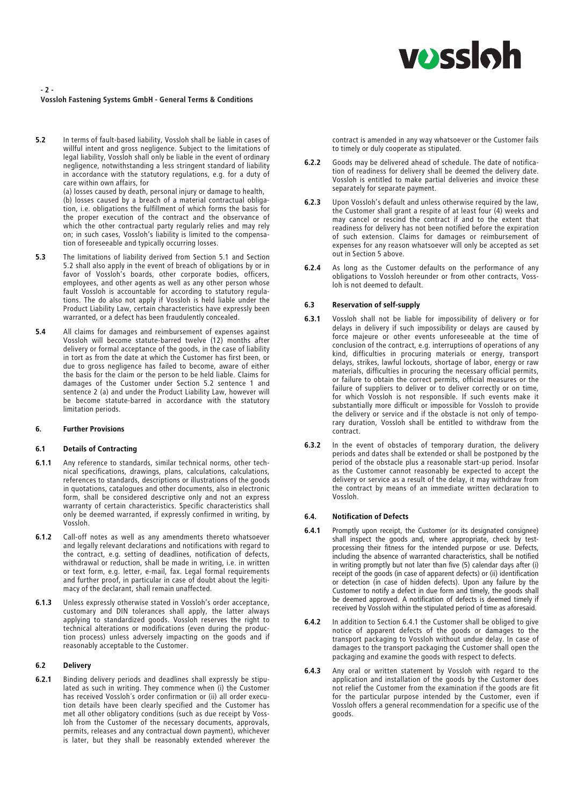# **VOSS**Oh

#### - 2 - Vossloh Fastening Systems GmbH - General Terms & Conditions

5.2 In terms of fault-based liability, Vossloh shall be liable in cases of willful intent and gross negligence. Subject to the limitations of legal liability, Vossloh shall only be liable in the event of ordinary negligence, notwithstanding a less stringent standard of liability in accordance with the statutory regulations, e.g. for a duty of care within own affairs, for

(a) losses caused by death, personal injury or damage to health, (b) losses caused by a breach of a material contractual obligation, i.e. obligations the fulfillment of which forms the basis for the proper execution of the contract and the observance of which the other contractual party regularly relies and may rely on; in such cases, Vossloh's liability is limited to the compensation of foreseeable and typically occurring losses.

- 5.3 The limitations of liability derived from Section 5.1 and Section 5.2 shall also apply in the event of breach of obligations by or in favor of Vossloh's boards, other corporate bodies, officers, employees, and other agents as well as any other person whose fault Vossloh is accountable for according to statutory regulations. The do also not apply if Vossloh is held liable under the Product Liability Law, certain characteristics have expressly been warranted, or a defect has been fraudulently concealed.
- 5.4 All claims for damages and reimbursement of expenses against Vossloh will become statute-barred twelve (12) months after delivery or formal acceptance of the goods, in the case of liability in tort as from the date at which the Customer has first been, or due to gross negligence has failed to become, aware of either the basis for the claim or the person to be held liable. Claims for damages of the Customer under Section 5.2 sentence 1 and sentence 2 (a) and under the Product Liability Law, however will be become statute-barred in accordance with the statutory limitation periods.

#### 6. Further Provisions

#### 6.1 Details of Contracting

- 6.1.1 Any reference to standards, similar technical norms, other technical specifications, drawings, plans, calculations, calculations, references to standards, descriptions or illustrations of the goods in quotations, catalogues and other documents, also in electronic form, shall be considered descriptive only and not an express warranty of certain characteristics. Specific characteristics shall only be deemed warranted, if expressly confirmed in writing, by Vossloh.
- 6.1.2 Call-off notes as well as any amendments thereto whatsoever and legally relevant declarations and notifications with regard to the contract, e.g. setting of deadlines, notification of defects, withdrawal or reduction, shall be made in writing, i.e. in written or text form, e.g. letter, e-mail, fax. Legal formal requirements and further proof, in particular in case of doubt about the legitimacy of the declarant, shall remain unaffected.
- 6.1.3 Unless expressly otherwise stated in Vossloh's order acceptance, customary and DIN tolerances shall apply, the latter always applying to standardized goods. Vossloh reserves the right to technical alterations or modifications (even during the production process) unless adversely impacting on the goods and if reasonably acceptable to the Customer.

#### 6.2 Delivery

6.2.1 Binding delivery periods and deadlines shall expressly be stipulated as such in writing. They commence when (i) the Customer has received Vossloh´s order confirmation or (ii) all order execution details have been clearly specified and the Customer has met all other obligatory conditions (such as due receipt by Vossloh from the Customer of the necessary documents, approvals, permits, releases and any contractual down payment), whichever is later, but they shall be reasonably extended wherever the

contract is amended in any way whatsoever or the Customer fails to timely or duly cooperate as stipulated.

- 6.2.2 Goods may be delivered ahead of schedule. The date of notification of readiness for delivery shall be deemed the delivery date. Vossloh is entitled to make partial deliveries and invoice these separately for separate payment.
- 6.2.3 Upon Vossloh's default and unless otherwise required by the law, the Customer shall grant a respite of at least four (4) weeks and may cancel or rescind the contract if and to the extent that readiness for delivery has not been notified before the expiration of such extension. Claims for damages or reimbursement of expenses for any reason whatsoever will only be accepted as set out in Section 5 above.
- **6.2.4** As long as the Customer defaults on the performance of any obligations to Vossloh hereunder or from other contracts, Vossloh is not deemed to default.

#### 6.3 Reservation of self-supply

- 6.3.1 Vossloh shall not be liable for impossibility of delivery or for delays in delivery if such impossibility or delays are caused by force majeure or other events unforeseeable at the time of conclusion of the contract, e.g. interruptions of operations of any kind, difficulties in procuring materials or energy, transport delays, strikes, lawful lockouts, shortage of labor, energy or raw materials, difficulties in procuring the necessary official permits, or failure to obtain the correct permits, official measures or the failure of suppliers to deliver or to deliver correctly or on time, for which Vossloh is not responsible. If such events make it substantially more difficult or impossible for Vossloh to provide the delivery or service and if the obstacle is not only of temporary duration, Vossloh shall be entitled to withdraw from the contract.
- **6.3.2** In the event of obstacles of temporary duration, the delivery periods and dates shall be extended or shall be postponed by the period of the obstacle plus a reasonable start-up period. Insofar as the Customer cannot reasonably be expected to accept the delivery or service as a result of the delay, it may withdraw from the contract by means of an immediate written declaration to Vossloh.

#### 6.4. Notification of Defects

- 6.4.1 Promptly upon receipt, the Customer (or its designated consignee) shall inspect the goods and, where appropriate, check by testprocessing their fitness for the intended purpose or use. Defects, including the absence of warranted characteristics, shall be notified in writing promptly but not later than five (5) calendar days after (i) receipt of the goods (in case of apparent defects) or (ii) identification or detection (in case of hidden defects). Upon any failure by the Customer to notify a defect in due form and timely, the goods shall be deemed approved. A notification of defects is deemed timely if received by Vossloh within the stipulated period of time as aforesaid.
- 6.4.2 In addition to Section 6.4.1 the Customer shall be obliged to give notice of apparent defects of the goods or damages to the transport packaging to Vossloh without undue delay. In case of damages to the transport packaging the Customer shall open the packaging and examine the goods with respect to defects.
- 6.4.3 Any oral or written statement by Vossloh with regard to the application and installation of the goods by the Customer does not relief the Customer from the examination if the goods are fit for the particular purpose intended by the Customer, even if Vossloh offers a general recommendation for a specific use of the goods.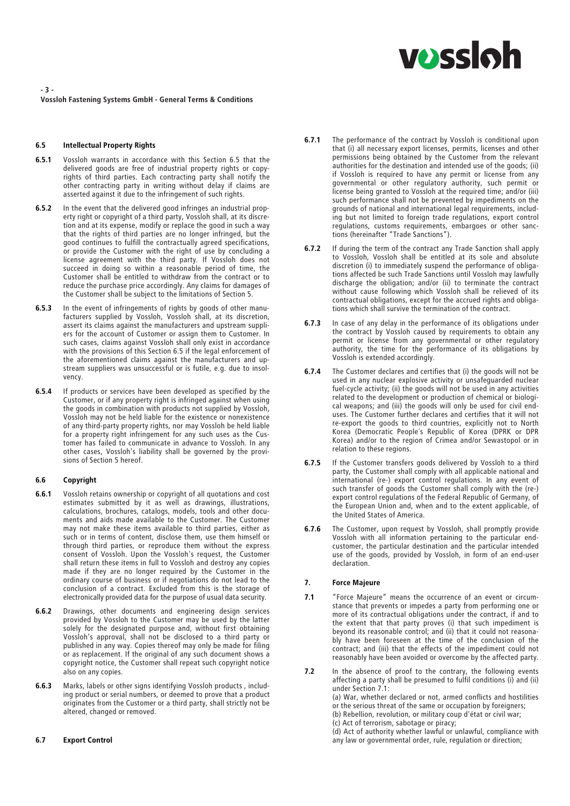

- 3 - Vossloh Fastening Systems GmbH - General Terms & Conditions

#### 6.5 Intellectual Property Rights

- 6.5.1 Vossloh warrants in accordance with this Section 6.5 that the delivered goods are free of industrial property rights or copyrights of third parties. Each contracting party shall notify the other contracting party in writing without delay if claims are asserted against it due to the infringement of such rights.
- 6.5.2 In the event that the delivered good infringes an industrial property right or copyright of a third party, Vossloh shall, at its discretion and at its expense, modify or replace the good in such a way that the rights of third parties are no longer infringed, but the good continues to fulfill the contractually agreed specifications, or provide the Customer with the right of use by concluding a license agreement with the third party. If Vossloh does not succeed in doing so within a reasonable period of time, the Customer shall be entitled to withdraw from the contract or to reduce the purchase price accordingly. Any claims for damages of the Customer shall be subject to the limitations of Section 5.
- **6.5.3** In the event of infringements of rights by goods of other manufacturers supplied by Vossloh, Vossloh shall, at its discretion, assert its claims against the manufacturers and upstream suppliers for the account of Customer or assign them to Customer. In such cases, claims against Vossloh shall only exist in accordance with the provisions of this Section 6.5 if the legal enforcement of the aforementioned claims against the manufacturers and upstream suppliers was unsuccessful or is futile, e.g. due to insolvency.
- **6.5.4** If products or services have been developed as specified by the Customer, or if any property right is infringed against when using the goods in combination with products not supplied by Vossloh, Vossloh may not be held liable for the existence or nonexistence of any third-party property rights, nor may Vossloh be held liable for a property right infringement for any such uses as the Customer has failed to communicate in advance to Vossloh. In any other cases, Vossloh's liability shall be governed by the provisions of Section 5 hereof.

#### 6.6 Copyright

- 6.6.1 Vossloh retains ownership or copyright of all quotations and cost estimates submitted by it as well as drawings, illustrations, calculations, brochures, catalogs, models, tools and other documents and aids made available to the Customer. The Customer may not make these items available to third parties, either as such or in terms of content, disclose them, use them himself or through third parties, or reproduce them without the express consent of Vossloh. Upon the Vossloh's request, the Customer shall return these items in full to Vossloh and destroy any copies made if they are no longer required by the Customer in the ordinary course of business or if negotiations do not lead to the conclusion of a contract. Excluded from this is the storage of electronically provided data for the purpose of usual data security.
- 6.6.2 Drawings, other documents and engineering design services provided by Vossloh to the Customer may be used by the latter solely for the designated purpose and, without first obtaining Vossloh's approval, shall not be disclosed to a third party or published in any way. Copies thereof may only be made for filing or as replacement. If the original of any such document shows a copyright notice, the Customer shall repeat such copyright notice also on any copies.
- 6.6.3 Marks, labels or other signs identifying Vossloh products , including product or serial numbers, or deemed to prove that a product originates from the Customer or a third party, shall strictly not be altered, changed or removed.

#### **6.7.1** The performance of the contract by Vossloh is conditional upon that (i) all necessary export licenses, permits, licenses and other permissions being obtained by the Customer from the relevant authorities for the destination and intended use of the goods; (ii) if Vossloh is required to have any permit or license from any governmental or other regulatory authority, such permit or license being granted to Vossloh at the required time; and/or (iii) such performance shall not be prevented by impediments on the grounds of national and international legal requirements, including but not limited to foreign trade regulations, export control regulations, customs requirements, embargoes or other sanctions (hereinafter "Trade Sanctions").

- **6.7.2** If during the term of the contract any Trade Sanction shall apply to Vossloh, Vossloh shall be entitled at its sole and absolute discretion (i) to immediately suspend the performance of obligations affected be such Trade Sanctions until Vossloh may lawfully discharge the obligation; and/or (ii) to terminate the contract without cause following which Vossloh shall be relieved of its contractual obligations, except for the accrued rights and obligations which shall survive the termination of the contract.
- **6.7.3** In case of any delay in the performance of its obligations under the contract by Vossloh caused by requirements to obtain any permit or license from any governmental or other regulatory authority, the time for the performance of its obligations by Vossloh is extended accordingly.
- 6.7.4 The Customer declares and certifies that (i) the goods will not be used in any nuclear explosive activity or unsafeguarded nuclear fuel-cycle activity; (ii) the goods will not be used in any activities related to the development or production of chemical or biological weapons; and (iii) the goods will only be used for civil enduses. The Customer further declares and certifies that it will not re-export the goods to third countries, explicitly not to North Korea (Democratic People´s Republic of Korea (DPRK or DPR Korea) and/or to the region of Crimea and/or Sewastopol or in relation to these regions.
- 6.7.5 If the Customer transfers goods delivered by Vossloh to a third party, the Customer shall comply with all applicable national and international (re-) export control regulations. In any event of such transfer of goods the Customer shall comply with the (re-) export control regulations of the Federal Republic of Germany, of the European Union and, when and to the extent applicable, of the United States of America.
- 6.7.6 The Customer, upon request by Vossloh, shall promptly provide Vossloh with all information pertaining to the particular endcustomer, the particular destination and the particular intended use of the goods, provided by Vossloh, in form of an end-user declaration.

#### 7. Force Majeure

7.1 "Force Majeure" means the occurrence of an event or circumstance that prevents or impedes a party from performing one or more of its contractual obligations under the contract, if and to the extent that that party proves (i) that such impediment is beyond its reasonable control; and (ii) that it could not reasonably have been foreseen at the time of the conclusion of the contract; and (iii) that the effects of the impediment could not reasonably have been avoided or overcome by the affected party.

7.2 In the absence of proof to the contrary, the following events affecting a party shall be presumed to fulfil conditions (i) and (ii) under Section 7.1: (a) War, whether declared or not, armed conflicts and hostilities or the serious threat of the same or occupation by foreigners; (b) Rebellion, revolution, or military coup d'état or civil war; (c) Act of terrorism, sabotage or piracy; (d) Act of authority whether lawful or unlawful, compliance with any law or governmental order, rule, regulation or direction;

6.7 Export Control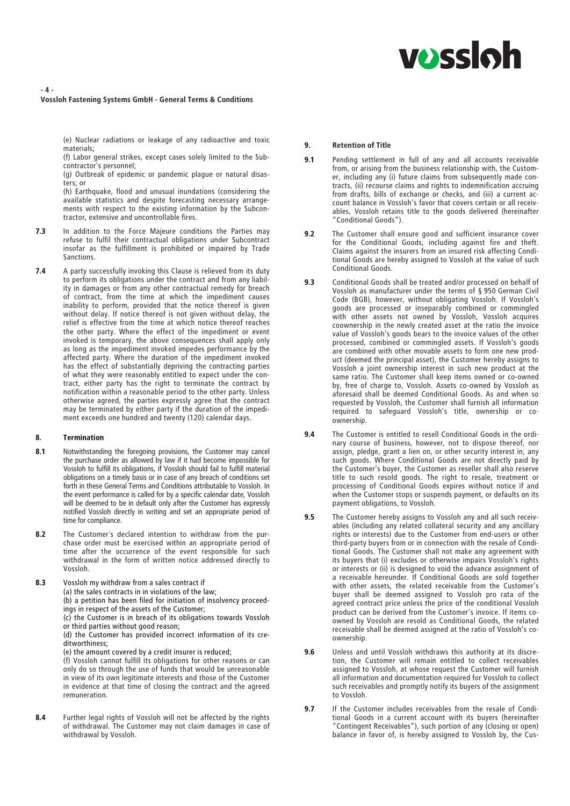# **vossloh**

#### - 4 - Vossloh Fastening Systems GmbH - General Terms & Conditions

(e) Nuclear radiations or leakage of any radioactive and toxic materials;

(f) Labor general strikes, except cases solely limited to the Subcontractor's personnel;

(g) Outbreak of epidemic or pandemic plague or natural disasters; or

(h) Earthquake, flood and unusual inundations (considering the available statistics and despite forecasting necessary arrangements with respect to the existing information by the Subcontractor, extensive and uncontrollable fires.

- **7.3** In addition to the Force Majeure conditions the Parties may refuse to fulfil their contractual obligations under Subcontract insofar as the fulfillment is prohibited or impaired by Trade Sanctions.
- 7.4 A party successfully invoking this Clause is relieved from its duty to perform its obligations under the contract and from any liability in damages or from any other contractual remedy for breach of contract, from the time at which the impediment causes inability to perform, provided that the notice thereof is given without delay. If notice thereof is not given without delay, the relief is effective from the time at which notice thereof reaches the other party. Where the effect of the impediment or event invoked is temporary, the above consequences shall apply only as long as the impediment invoked impedes performance by the affected party. Where the duration of the impediment invoked has the effect of substantially depriving the contracting parties of what they were reasonably entitled to expect under the contract, either party has the right to terminate the contract by notification within a reasonable period to the other party. Unless otherwise agreed, the parties expressly agree that the contract may be terminated by either party if the duration of the impediment exceeds one hundred and twenty (120) calendar days.

#### 8. Termination

- 8.1 Notwithstanding the foregoing provisions, the Customer may cancel the purchase order as allowed by law if it had become impossible for Vossloh to fulfill its obligations, if Vossloh should fail to fulfill material obligations on a timely basis or in case of any breach of conditions set forth in these General Terms and Conditions attributable to Vossloh. In the event performance is called for by a specific calendar date, Vossloh will be deemed to be in default only after the Customer has expressly notified Vossloh directly in writing and set an appropriate period of time for compliance.
- 8.2 The Customer's declared intention to withdraw from the purchase order must be exercised within an appropriate period of time after the occurrence of the event responsible for such withdrawal in the form of written notice addressed directly to Vossloh.
- 8.3 Vossloh my withdraw from a sales contract if (a) the sales contracts in in violations of the law; (b) a petition has been filed for initiation of insolvency proceedings in respect of the assets of the Customer; (c) the Customer is in breach of its obligations towards Vossloh or third parties without good reason; (d) the Customer has provided incorrect information of its creditworthiness; (e) the amount covered by a credit insurer is reduced; (f) Vossloh cannot fulfill its obligations for other reasons or can

only do so through the use of funds that would be unreasonable in view of its own legitimate interests and those of the Customer in evidence at that time of closing the contract and the agreed remuneration.

8.4 Further legal rights of Vossloh will not be affected by the rights of withdrawal. The Customer may not claim damages in case of withdrawal by Vossloh.

#### 9. Retention of Title

- 9.1 Pending settlement in full of any and all accounts receivable from, or arising from the business relationship with, the Customer, including any (i) future claims from subsequently made contracts, (ii) recourse claims and rights to indemnification accruing from drafts, bills of exchange or checks, and (iii) a current account balance in Vossloh's favor that covers certain or all receivables, Vossloh retains title to the goods delivered (hereinafter "Conditional Goods").
- 9.2 The Customer shall ensure good and sufficient insurance cover for the Conditional Goods, including against fire and theft. Claims against the insurers from an insured risk affecting Conditional Goods are hereby assigned to Vossloh at the value of such Conditional Goods.
- 9.3 Conditional Goods shall be treated and/or processed on behalf of Vossloh as manufacturer under the terms of § 950 German Civil Code (BGB), however, without obligating Vossloh. If Vossloh's goods are processed or inseparably combined or commingled with other assets not owned by Vossloh, Vossloh acquires coownership in the newly created asset at the ratio the invoice value of Vossloh's goods bears to the invoice values of the other processed, combined or commingled assets. If Vossloh's goods are combined with other movable assets to form one new product (deemed the principal asset), the Customer hereby assigns to Vossloh a joint ownership interest in such new product at the same ratio. The Customer shall keep items owned or co-owned by, free of charge to, Vossloh. Assets co-owned by Vossloh as aforesaid shall be deemed Conditional Goods. As and when so requested by Vossloh, the Customer shall furnish all information required to safeguard Vossloh's title, ownership or coownership.
- 9.4 The Customer is entitled to resell Conditional Goods in the ordinary course of business, however, not to dispose thereof, nor assign, pledge, grant a lien on, or other security interest in, any such goods. Where Conditional Goods are not directly paid by the Customer's buyer, the Customer as reseller shall also reserve title to such resold goods. The right to resale, treatment or processing of Conditional Goods expires without notice if and when the Customer stops or suspends payment, or defaults on its payment obligations, to Vossloh.
- 9.5 The Customer hereby assigns to Vossloh any and all such receivables (including any related collateral security and any ancillary rights or interests) due to the Customer from end-users or other third-party buyers from or in connection with the resale of Conditional Goods. The Customer shall not make any agreement with its buyers that (i) excludes or otherwise impairs Vossloh's rights or interests or (ii) is designed to void the advance assignment of a receivable hereunder. If Conditional Goods are sold together with other assets, the related receivable from the Customer's buyer shall be deemed assigned to Vossloh pro rata of the agreed contract price unless the price of the conditional Vossloh product can be derived from the Customer's invoice. If items coowned by Vossloh are resold as Conditional Goods, the related receivable shall be deemed assigned at the ratio of Vossloh's coownership.
- 9.6 Unless and until Vossloh withdraws this authority at its discretion, the Customer will remain entitled to collect receivables assigned to Vossloh, at whose request the Customer will furnish all information and documentation required for Vossloh to collect such receivables and promptly notify its buyers of the assignment to Vossloh.
- 9.7 If the Customer includes receivables from the resale of Conditional Goods in a current account with its buyers (hereinafter "Contingent Receivables"), such portion of any (closing or open) balance in favor of, is hereby assigned to Vossloh by, the Cus-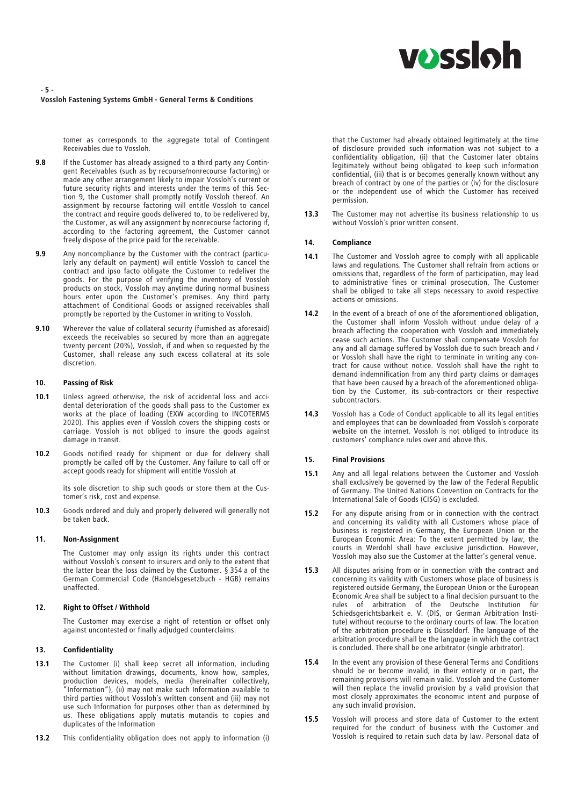# **vossloh**

#### - 5 - Vossloh Fastening Systems GmbH - General Terms & Conditions

tomer as corresponds to the aggregate total of Contingent Receivables due to Vossloh.

- 9.8 If the Customer has already assigned to a third party any Contingent Receivables (such as by recourse/nonrecourse factoring) or made any other arrangement likely to impair Vossloh's current or future security rights and interests under the terms of this Section 9, the Customer shall promptly notify Vossloh thereof. An assignment by recourse factoring will entitle Vossloh to cancel the contract and require goods delivered to, to be redelivered by, the Customer, as will any assignment by nonrecourse factoring if, the Customer, as will any assignment by nonrecourse factoring if, according to the factoring agreement, the Customer cannot freely dispose of the price paid for the receivable.
- 9.9 Any noncompliance by the Customer with the contract (particularly any default on payment) will entitle Vossloh to cancel the contract and ipso facto obligate the Customer to redeliver the goods. For the purpose of verifying the inventory of Vossloh products on stock, Vossloh may anytime during normal business hours enter upon the Customer's premises. Any third party attachment of Conditional Goods or assigned receivables shall promptly be reported by the Customer in writing to Vossloh.
- 9.10 Wherever the value of collateral security (furnished as aforesaid) exceeds the receivables so secured by more than an aggregate twenty percent (20%), Vossloh, if and when so requested by the Customer, shall release any such excess collateral at its sole discretion.

#### 10. Passing of Risk

- 10.1 Unless agreed otherwise, the risk of accidental loss and accidental deterioration of the goods shall pass to the Customer ex works at the place of loading (EXW according to INCOTERMS 2020). This applies even if Vossloh covers the shipping costs or carriage. Vossloh is not obliged to insure the goods against damage in transit.
- 10.2 Goods notified ready for shipment or due for delivery shall promptly be called off by the Customer. Any failure to call off or accept goods ready for shipment will entitle Vossloh at

its sole discretion to ship such goods or store them at the Customer's risk, cost and expense.

10.3 Goods ordered and duly and properly delivered will generally not be taken back.

#### 11. Non-Assignment

The Customer may only assign its rights under this contract without Vossloh´s consent to insurers and only to the extent that the latter bear the loss claimed by the Customer. § 354 a of the German Commercial Code (Handelsgesetzbuch - HGB) remains unaffected.

#### 12. Right to Offset / Withhold

The Customer may exercise a right of retention or offset only against uncontested or finally adjudged counterclaims.

#### 13. Confidentiality

- 13.1 The Customer (i) shall keep secret all information, including without limitation drawings, documents, know how, samples, production devices, models, media (hereinafter collectively, "Information"), (ii) may not make such Information available to third parties without Vossloh´s written consent and (iii) may not use such Information for purposes other than as determined by us. These obligations apply mutatis mutandis to copies and duplicates of the Information
- 13.2 This confidentiality obligation does not apply to information (i)

that the Customer had already obtained legitimately at the time of disclosure provided such information was not subject to a confidentiality obligation, (ii) that the Customer later obtains legitimately without being obligated to keep such information confidential, (iii) that is or becomes generally known without any breach of contract by one of the parties or (iv) for the disclosure or the independent use of which the Customer has received permission.

13.3 The Customer may not advertise its business relationship to us without Vossloh´s prior written consent.

#### 14. Compliance

- 14.1 The Customer and Vossloh agree to comply with all applicable laws and regulations. The Customer shall refrain from actions or omissions that, regardless of the form of participation, may lead<br>to administrative fines or criminal prosecution, The Customer to administrative fines or criminal prosecution, The Customer shall be obliged to take all steps necessary to avoid respective actions or omissions.
- 14.2 In the event of a breach of one of the aforementioned obligation, the Customer shall inform Vossloh without undue delay of a breach affecting the cooperation with Vossloh and immediately cease such actions. The Customer shall compensate Vossloh for any and all damage suffered by Vossloh due to such breach and / or Vossloh shall have the right to terminate in writing any contract for cause without notice. Vossloh shall have the right to demand indemnification from any third party claims or damages that have been caused by a breach of the aforementioned obligation by the Customer, its sub-contractors or their respective subcontractors.
- 14.3 Vossloh has a Code of Conduct applicable to all its legal entities and employees that can be downloaded from Vossloh´s corporate website on the internet. Vossloh is not obliged to introduce its customers' compliance rules over and above this.

#### 15. Final Provisions

- 15.1 Any and all legal relations between the Customer and Vossloh shall exclusively be governed by the law of the Federal Republic of Germany. The United Nations Convention on Contracts for the International Sale of Goods (CISG) is excluded.
- 15.2 For any dispute arising from or in connection with the contract and concerning its validity with all Customers whose place of business is registered in Germany, the European Union or the European Economic Area: To the extent permitted by law, the courts in Werdohl shall have exclusive jurisdiction. However, Vossloh may also sue the Customer at the latter's general venue.
- 15.3 All disputes arising from or in connection with the contract and concerning its validity with Customers whose place of business is registered outside Germany, the European Union or the European Economic Area shall be subject to a final decision pursuant to the rules of arbitration of the Deutsche Institution für Schiedsgerichtsbarkeit e. V. (DIS, or German Arbitration Institute) without recourse to the ordinary courts of law. The location of the arbitration procedure is Düsseldorf. The language of the arbitration procedure shall be the language in which the contract is concluded. There shall be one arbitrator (single arbitrator).
- 15.4 In the event any provision of these General Terms and Conditions should be or become invalid, in their entirety or in part, the remaining provisions will remain valid. Vossloh and the Customer will then replace the invalid provision by a valid provision that most closely approximates the economic intent and purpose of any such invalid provision.
- 15.5 Vossloh will process and store data of Customer to the extent required for the conduct of business with the Customer and Vossloh is required to retain such data by law. Personal data of